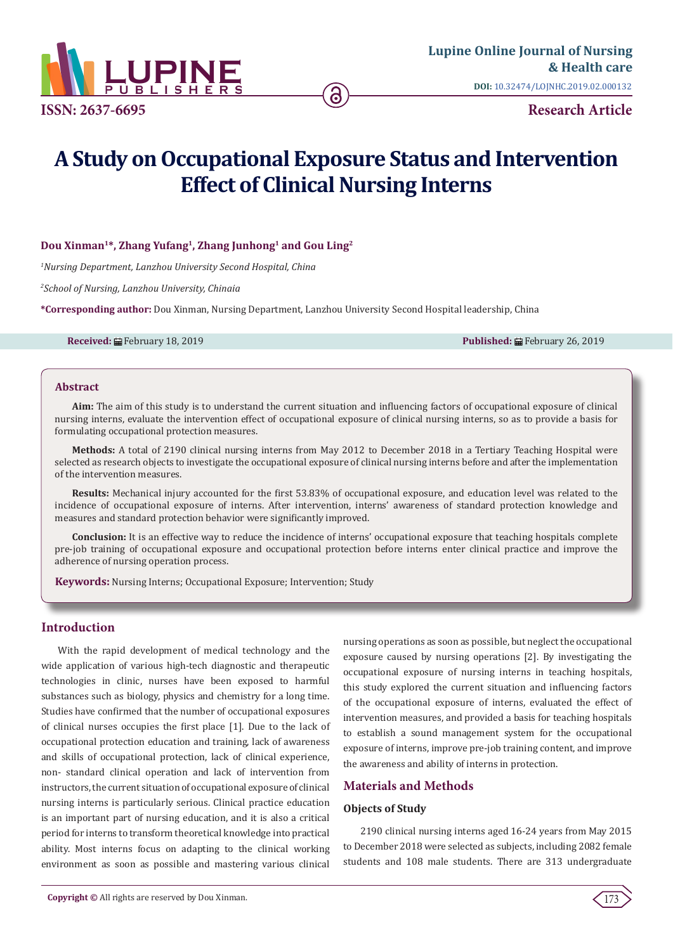

# **A Study on Occupational Exposure Status and Intervention Effect of Clinical Nursing Interns**

## **Dou Xinman1\*, Zhang Yufang1, Zhang Junhong1 and Gou Ling2**

*1 Nursing Department, Lanzhou University Second Hospital, China*

*2 School of Nursing, Lanzhou University, Chinaia*

**\*Corresponding author:** Dou Xinman, Nursing Department, Lanzhou University Second Hospital leadership, China

**Received:** February 18, 2019 **Published:** February 26, 2019

#### **Abstract**

**Aim:** The aim of this study is to understand the current situation and influencing factors of occupational exposure of clinical nursing interns, evaluate the intervention effect of occupational exposure of clinical nursing interns, so as to provide a basis for formulating occupational protection measures.

**Methods:** A total of 2190 clinical nursing interns from May 2012 to December 2018 in a Tertiary Teaching Hospital were selected as research objects to investigate the occupational exposure of clinical nursing interns before and after the implementation of the intervention measures.

**Results:** Mechanical injury accounted for the first 53.83% of occupational exposure, and education level was related to the incidence of occupational exposure of interns. After intervention, interns' awareness of standard protection knowledge and measures and standard protection behavior were significantly improved.

**Conclusion:** It is an effective way to reduce the incidence of interns' occupational exposure that teaching hospitals complete pre-job training of occupational exposure and occupational protection before interns enter clinical practice and improve the adherence of nursing operation process.

**Keywords:** Nursing Interns; Occupational Exposure; Intervention; Study

## **Introduction**

With the rapid development of medical technology and the wide application of various high-tech diagnostic and therapeutic technologies in clinic, nurses have been exposed to harmful substances such as biology, physics and chemistry for a long time. Studies have confirmed that the number of occupational exposures of clinical nurses occupies the first place [1]. Due to the lack of occupational protection education and training, lack of awareness and skills of occupational protection, lack of clinical experience, non- standard clinical operation and lack of intervention from instructors, the current situation of occupational exposure of clinical nursing interns is particularly serious. Clinical practice education is an important part of nursing education, and it is also a critical period for interns to transform theoretical knowledge into practical ability. Most interns focus on adapting to the clinical working environment as soon as possible and mastering various clinical

nursing operations as soon as possible, but neglect the occupational exposure caused by nursing operations [2]. By investigating the occupational exposure of nursing interns in teaching hospitals, this study explored the current situation and influencing factors of the occupational exposure of interns, evaluated the effect of intervention measures, and provided a basis for teaching hospitals to establish a sound management system for the occupational exposure of interns, improve pre-job training content, and improve the awareness and ability of interns in protection.

## **Materials and Methods**

## **Objects of Study**

2190 clinical nursing interns aged 16-24 years from May 2015 to December 2018 were selected as subjects, including 2082 female students and 108 male students. There are 313 undergraduate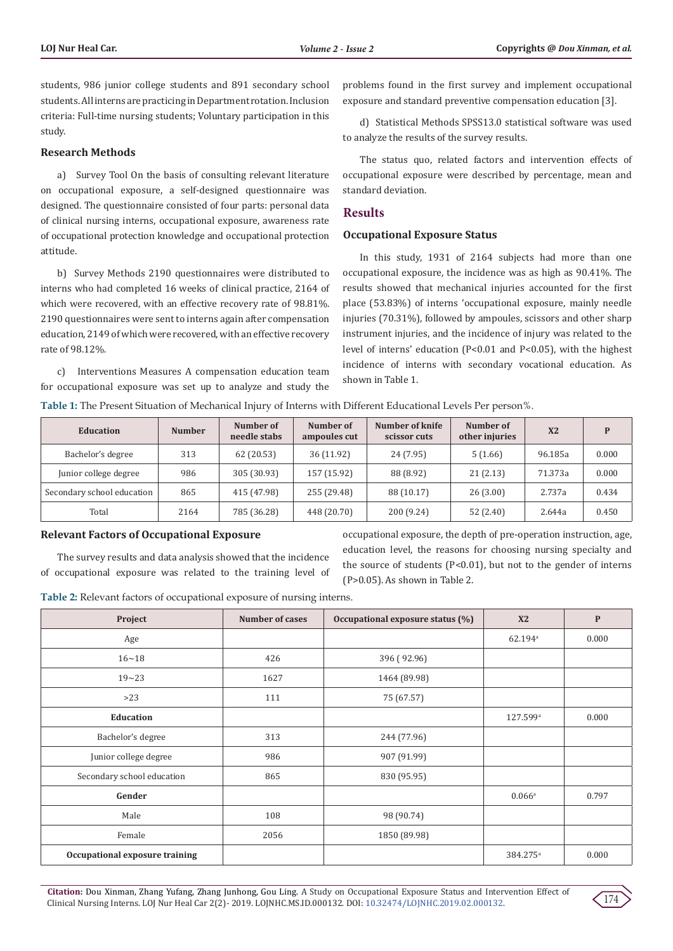students, 986 junior college students and 891 secondary school students. All interns are practicing in Department rotation. Inclusion criteria: Full-time nursing students; Voluntary participation in this study.

#### **Research Methods**

a) Survey Tool On the basis of consulting relevant literature on occupational exposure, a self-designed questionnaire was designed. The questionnaire consisted of four parts: personal data of clinical nursing interns, occupational exposure, awareness rate of occupational protection knowledge and occupational protection attitude.

b) Survey Methods 2190 questionnaires were distributed to interns who had completed 16 weeks of clinical practice, 2164 of which were recovered, with an effective recovery rate of 98.81%. 2190 questionnaires were sent to interns again after compensation education, 2149 of which were recovered, with an effective recovery rate of 98.12%.

c) Interventions Measures A compensation education team for occupational exposure was set up to analyze and study the problems found in the first survey and implement occupational exposure and standard preventive compensation education [3].

d) Statistical Methods SPSS13.0 statistical software was used to analyze the results of the survey results.

The status quo, related factors and intervention effects of occupational exposure were described by percentage, mean and standard deviation.

## **Results**

#### **Occupational Exposure Status**

In this study, 1931 of 2164 subjects had more than one occupational exposure, the incidence was as high as 90.41%. The results showed that mechanical injuries accounted for the first place (53.83%) of interns 'occupational exposure, mainly needle injuries (70.31%), followed by ampoules, scissors and other sharp instrument injuries, and the incidence of injury was related to the level of interns' education (P<0.01 and P<0.05), with the highest incidence of interns with secondary vocational education. As shown in Table 1.

| Table 1: The Present Situation of Mechanical Injury of Interns with Different Educational Levels Per person%. |  |
|---------------------------------------------------------------------------------------------------------------|--|
|---------------------------------------------------------------------------------------------------------------|--|

| Education                  | <b>Number</b> | Number of<br>needle stabs | Number of<br>ampoules cut | Number of knife<br>scissor cuts | Number of<br>other injuries | X <sub>2</sub> | D     |
|----------------------------|---------------|---------------------------|---------------------------|---------------------------------|-----------------------------|----------------|-------|
| Bachelor's degree          | 313           | 62 (20.53)                | 36 (11.92)                | 24 (7.95)                       | 5(1.66)                     | 96.185a        | 0.000 |
| Junior college degree      | 986           | 305 (30.93)               | 157 (15.92)               | 88 (8.92)                       | 21(2.13)                    | 71.373a        | 0.000 |
| Secondary school education | 865           | 415 (47.98)               | 255 (29.48)               | 88 (10.17)                      | 26(3.00)                    | 2.737a         | 0.434 |
| Total                      | 2164          | 785 (36.28)               | 448 (20.70)               | 200 (9.24)                      | 52(2.40)                    | 2.644a         | 0.450 |

#### **Relevant Factors of Occupational Exposure**

The survey results and data analysis showed that the incidence of occupational exposure was related to the training level of occupational exposure, the depth of pre-operation instruction, age, education level, the reasons for choosing nursing specialty and the source of students (P<0.01), but not to the gender of interns (P>0.05). As shown in Table 2.

**Table 2:** Relevant factors of occupational exposure of nursing interns.

| Project                        | <b>Number of cases</b> | Occupational exposure status (%) | X <sub>2</sub>        | $\mathbf{P}$ |
|--------------------------------|------------------------|----------------------------------|-----------------------|--------------|
| Age                            |                        |                                  | $62.194$ <sup>a</sup> | 0.000        |
| $16 - 18$                      | 426                    | 396 (92.96)                      |                       |              |
| $19 - 23$                      | 1627                   | 1464 (89.98)                     |                       |              |
| $>23$                          | 111                    | 75 (67.57)                       |                       |              |
| <b>Education</b>               |                        |                                  | 127.599a              | 0.000        |
| Bachelor's degree              | 313                    | 244 (77.96)                      |                       |              |
| Junior college degree          | 986                    | 907 (91.99)                      |                       |              |
| Secondary school education     | 865                    | 830 (95.95)                      |                       |              |
| Gender                         |                        |                                  | $0.066^{\rm a}$       | 0.797        |
| Male                           | 108                    | 98 (90.74)                       |                       |              |
| Female                         | 2056                   | 1850 (89.98)                     |                       |              |
| Occupational exposure training |                        |                                  | 384.275 <sup>a</sup>  | 0.000        |

**Citation:** Dou Xinman, Zhang Yufang, Zhang Junhong, Gou Ling. A Study on Occupational Exposure Status and Intervention Effect of Clinical Nursing Interns. LOJ Nur Heal Car 2(2)- 2019. LOJNHC.MS.ID.000132. DOI: [10.32474/LOJNHC.2019.02.000132](http://dx.doi.org/10.32474/LOJNHC.2019.02.000132).

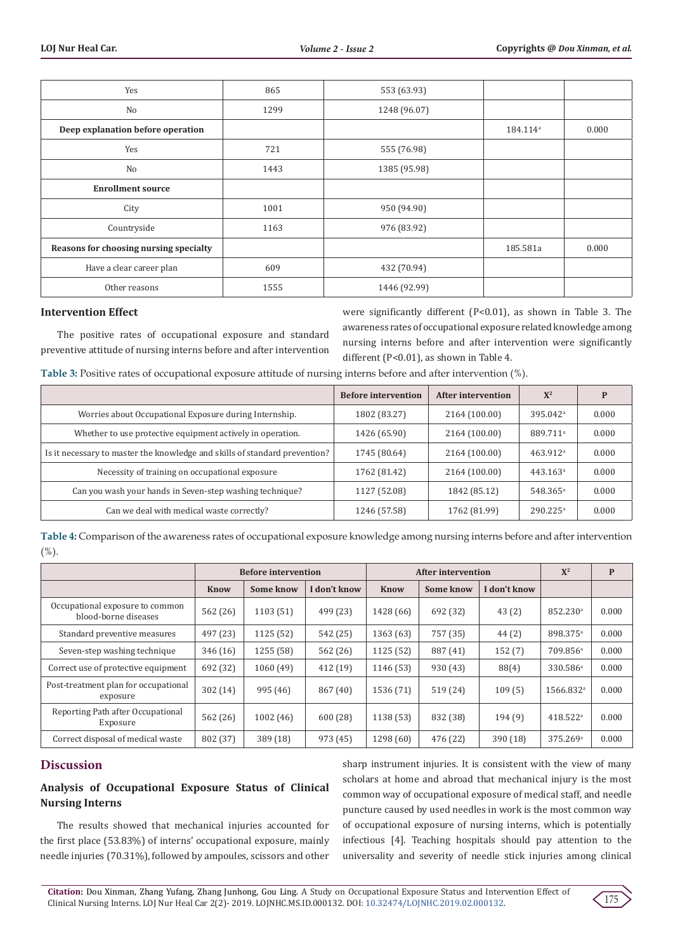| Yes                                    | 865  | 553 (63.93)  |                      |       |
|----------------------------------------|------|--------------|----------------------|-------|
| N <sub>o</sub>                         | 1299 | 1248 (96.07) |                      |       |
| Deep explanation before operation      |      |              | 184.114 <sup>a</sup> | 0.000 |
| Yes                                    | 721  | 555 (76.98)  |                      |       |
| No                                     | 1443 | 1385 (95.98) |                      |       |
| <b>Enrollment source</b>               |      |              |                      |       |
| City                                   | 1001 | 950 (94.90)  |                      |       |
| Countryside                            | 1163 | 976 (83.92)  |                      |       |
| Reasons for choosing nursing specialty |      |              | 185.581a             | 0.000 |
| Have a clear career plan               | 609  | 432 (70.94)  |                      |       |
| Other reasons                          | 1555 | 1446 (92.99) |                      |       |

## **Intervention Effect**

The positive rates of occupational exposure and standard preventive attitude of nursing interns before and after intervention

were significantly different (P<0.01), as shown in Table 3. The awareness rates of occupational exposure related knowledge among nursing interns before and after intervention were significantly different (P<0.01), as shown in Table 4.

**Table 3:** Positive rates of occupational exposure attitude of nursing interns before and after intervention (%).

|                                                                            | <b>Before intervention</b> | <b>After intervention</b> | $X^2$                  | P     |
|----------------------------------------------------------------------------|----------------------------|---------------------------|------------------------|-------|
| Worries about Occupational Exposure during Internship.                     | 1802 (83.27)               | 2164 (100.00)             | $395.042$ <sup>a</sup> | 0.000 |
| Whether to use protective equipment actively in operation.                 | 1426 (65.90)               | 2164 (100.00)             | 889.711 <sup>a</sup>   | 0.000 |
| Is it necessary to master the knowledge and skills of standard prevention? | 1745 (80.64)               | 2164 (100.00)             | 463.912 <sup>a</sup>   | 0.000 |
| Necessity of training on occupational exposure                             | 1762 (81.42)               | 2164 (100.00)             | 443.163 <sup>a</sup>   | 0.000 |
| Can you wash your hands in Seven-step washing technique?                   | 1127 (52.08)               | 1842 (85.12)              | 548.365 <sup>a</sup>   | 0.000 |
| Can we deal with medical waste correctly?                                  | 1246 (57.58)               | 1762 (81.99)              | $290.225$ <sup>a</sup> | 0.000 |

**Table 4:** Comparison of the awareness rates of occupational exposure knowledge among nursing interns before and after intervention  $(%)$ .

|                                                         | <b>Before intervention</b> |           | <b>After intervention</b> |           |           | $X^2$        | $\mathbf{P}$          |       |
|---------------------------------------------------------|----------------------------|-----------|---------------------------|-----------|-----------|--------------|-----------------------|-------|
|                                                         | <b>Know</b>                | Some know | I don't know              | Know      | Some know | I don't know |                       |       |
| Occupational exposure to common<br>blood-borne diseases | 562 (26)                   | 1103(51)  | 499 (23)                  | 1428 (66) | 692 (32)  | 43(2)        | 852.230 <sup>a</sup>  | 0.000 |
| Standard preventive measures                            | 497 (23)                   | 1125 (52) | 542 (25)                  | 1363 (63) | 757 (35)  | 44(2)        | 898.375 <sup>a</sup>  | 0.000 |
| Seven-step washing technique                            | 346 (16)                   | 1255 (58) | 562 (26)                  | 1125 (52) | 887 (41)  | 152(7)       | 709.856 <sup>a</sup>  | 0.000 |
| Correct use of protective equipment                     | 692 (32)                   | 1060(49)  | 412(19)                   | 1146 (53) | 930 (43)  | 88(4)        | 330.586 <sup>a</sup>  | 0.000 |
| Post-treatment plan for occupational<br>exposure        | 302 (14)                   | 995(46)   | 867 (40)                  | 1536 (71) | 519(24)   | 109(5)       | 1566.832 <sup>a</sup> | 0.000 |
| Reporting Path after Occupational<br>Exposure           | 562 (26)                   | 1002(46)  | 600(28)                   | 1138 (53) | 832 (38)  | 194(9)       | 418.522 <sup>a</sup>  | 0.000 |
| Correct disposal of medical waste                       | 802 (37)                   | 389 (18)  | 973 (45)                  | 1298(60)  | 476 (22)  | 390 (18)     | 375.269 <sup>a</sup>  | 0.000 |

# **Discussion**

# **Analysis of Occupational Exposure Status of Clinical Nursing Interns**

The results showed that mechanical injuries accounted for the first place (53.83%) of interns' occupational exposure, mainly needle injuries (70.31%), followed by ampoules, scissors and other sharp instrument injuries. It is consistent with the view of many scholars at home and abroad that mechanical injury is the most common way of occupational exposure of medical staff, and needle puncture caused by used needles in work is the most common way of occupational exposure of nursing interns, which is potentially infectious [4]. Teaching hospitals should pay attention to the universality and severity of needle stick injuries among clinical